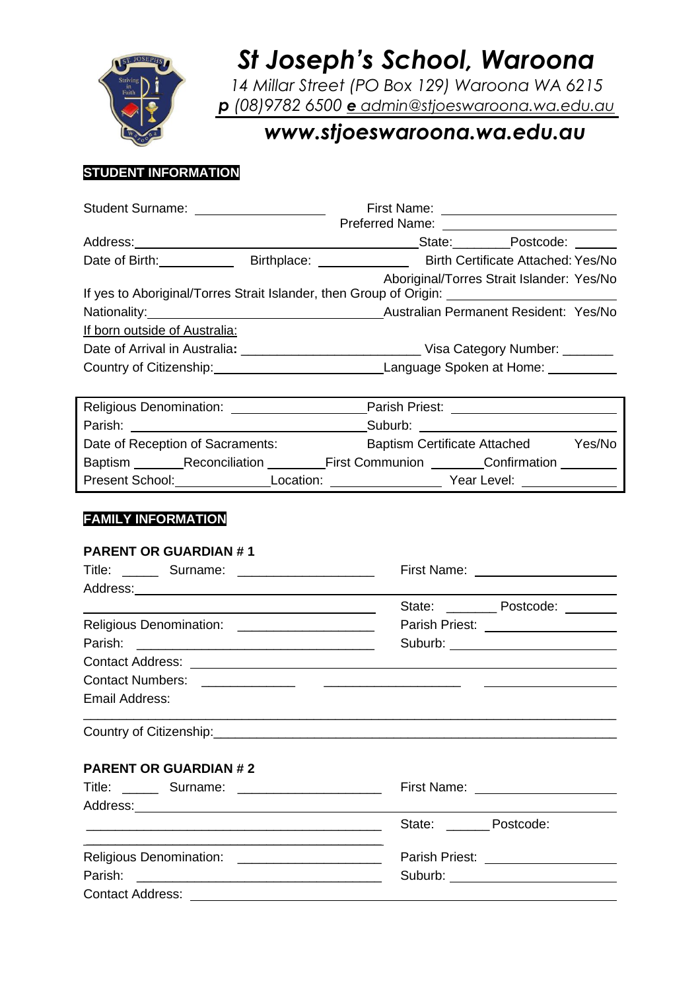

# *St Joseph's School, Waroona*

*14 Millar Street (PO Box 129) Waroona WA 6215 p (08)9782 6500 e [admin@stjoeswaroona.wa.edu.au](mailto:e%20admin@stjoeswaroona.wa.edu.au)*

# *www.stjoeswaroona.wa.edu.au*

### **STUDENT INFORMATION**

| Student Surname: _____________________                                                                         |                                                             |                                         |                                                |  |
|----------------------------------------------------------------------------------------------------------------|-------------------------------------------------------------|-----------------------------------------|------------------------------------------------|--|
|                                                                                                                |                                                             |                                         |                                                |  |
|                                                                                                                |                                                             |                                         |                                                |  |
|                                                                                                                |                                                             |                                         |                                                |  |
|                                                                                                                |                                                             |                                         | Aboriginal/Torres Strait Islander: Yes/No      |  |
| If yes to Aboriginal/Torres Strait Islander, then Group of Origin: _________________________________           |                                                             |                                         |                                                |  |
| Nationality: Music Permanent Resident: Yes/No                                                                  |                                                             |                                         |                                                |  |
| If born outside of Australia:                                                                                  |                                                             |                                         |                                                |  |
|                                                                                                                |                                                             |                                         |                                                |  |
|                                                                                                                |                                                             |                                         |                                                |  |
|                                                                                                                |                                                             |                                         |                                                |  |
|                                                                                                                |                                                             |                                         |                                                |  |
| Parish: Suburb: Suburb: Suburb: Suburb: Suburb: Suburb: Suburb: Suburb: Suburb: Suburb: Suburb: Suburb: Suburb |                                                             |                                         |                                                |  |
| Date of Reception of Sacraments: Baptism Certificate Attached Yes/No                                           |                                                             |                                         |                                                |  |
| Baptism _________Reconciliation __________First Communion _________Confirmation _________                      |                                                             |                                         |                                                |  |
|                                                                                                                |                                                             |                                         |                                                |  |
|                                                                                                                |                                                             |                                         |                                                |  |
| <b>FAMILY INFORMATION</b><br><b>PARENT OR GUARDIAN #1</b>                                                      |                                                             |                                         |                                                |  |
|                                                                                                                |                                                             | First Name: <u>____________________</u> |                                                |  |
|                                                                                                                |                                                             |                                         |                                                |  |
|                                                                                                                | <u> 1989 - Johann Stein, Amerikaansk politiker († 1908)</u> |                                         | State: ___________ Postcode: ________          |  |
| Religious Denomination: ______________________                                                                 |                                                             |                                         | Parish Priest: ____________________            |  |
|                                                                                                                |                                                             |                                         | Suburb: __________________________             |  |
|                                                                                                                |                                                             |                                         |                                                |  |
|                                                                                                                |                                                             |                                         | <u> The Communication of the Communication</u> |  |
| Email Address:                                                                                                 |                                                             |                                         |                                                |  |
|                                                                                                                |                                                             |                                         |                                                |  |
|                                                                                                                |                                                             |                                         |                                                |  |
|                                                                                                                |                                                             |                                         |                                                |  |
| <b>PARENT OR GUARDIAN #2</b>                                                                                   |                                                             |                                         |                                                |  |
| Title: ________ Surname: _________________________                                                             |                                                             |                                         |                                                |  |
|                                                                                                                |                                                             |                                         |                                                |  |
| <u> 1989 - Johann John Stein, mars an deus Amerikaanse kommunister († 1958)</u>                                |                                                             |                                         | State: ______ Postcode:                        |  |
|                                                                                                                |                                                             |                                         |                                                |  |
| Religious Denomination: _______________________                                                                |                                                             |                                         | Parish Priest: ____________________            |  |
|                                                                                                                |                                                             |                                         | Suburb: _____________________________          |  |

Contact Address: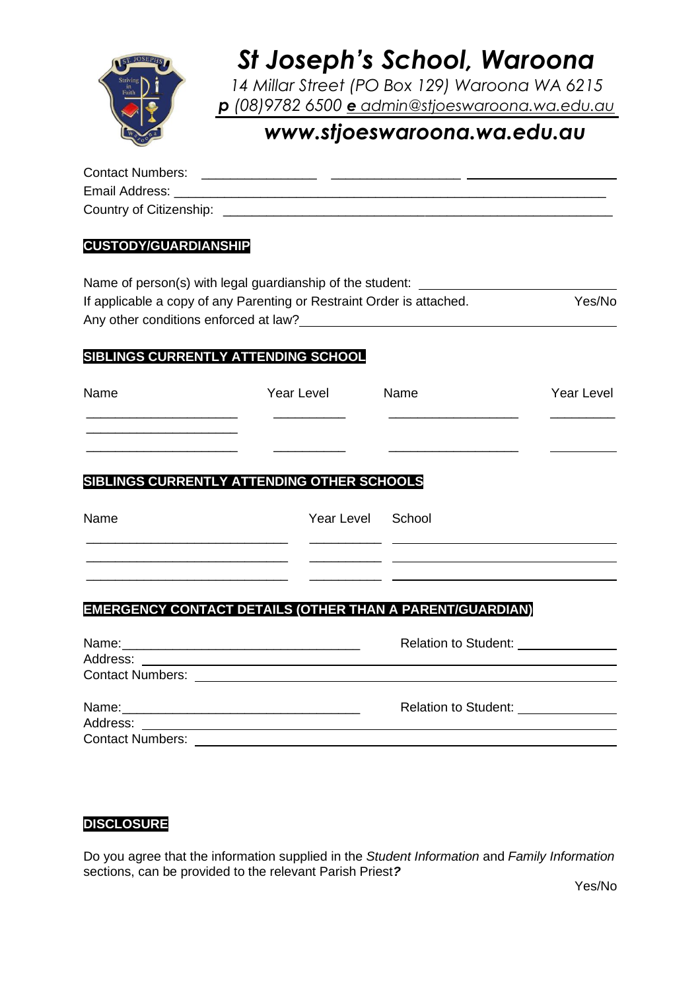

# *St Joseph's School, Waroona*

*14 Millar Street (PO Box 129) Waroona WA 6215 p (08)9782 6500 e [admin@stjoeswaroona.wa.edu.au](mailto:e%20admin@stjoeswaroona.wa.edu.au)*

## *www.stjoeswaroona.wa.edu.au*

| <b>Contact Numbers:</b> |  |
|-------------------------|--|
| Email Address:          |  |
| Country of Citizenship: |  |

#### **CUSTODY/GUARDIANSHIP**

| Name of person(s) with legal guardianship of the student:             |        |
|-----------------------------------------------------------------------|--------|
| If applicable a copy of any Parenting or Restraint Order is attached. | Yes/No |
| Any other conditions enforced at law?                                 |        |

### **SIBLINGS CURRENTLY ATTENDING SCHOOL**

| Name | Year Level | Name | Year Level |
|------|------------|------|------------|
|      |            |      |            |
|      |            |      |            |

## **SIBLINGS CURRENTLY ATTENDING OTHER SCHOOLS**

| Name | Year Level School |  |
|------|-------------------|--|
|      |                   |  |
|      |                   |  |

### **EMERGENCY CONTACT DETAILS (OTHER THAN A PARENT/GUARDIAN)**

|                         | Relation to Student: ______________                                                                                  |
|-------------------------|----------------------------------------------------------------------------------------------------------------------|
| <b>Contact Numbers:</b> | <u> 1989 - Jan Stein Stein Stein Stein Stein Stein Stein Stein Stein Stein Stein Stein Stein Stein Stein Stein S</u> |

#### **DISCLOSURE**

Do you agree that the information supplied in the *Student Information* and *Family Information* sections, can be provided to the relevant Parish Priest*?*

Yes/No